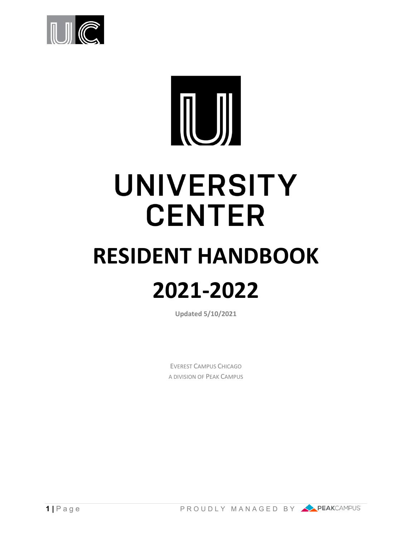

# UNIVERSITY **CENTER**

# **RESIDENT HANDBOOK 2021-2022**

**Updated 5/10/2021**

EVEREST CAMPUS CHICAGO A DIVISION OF PEAK CAMPUS



**1** | Page PROUDLY MANAGED BY PEAKCAMPUS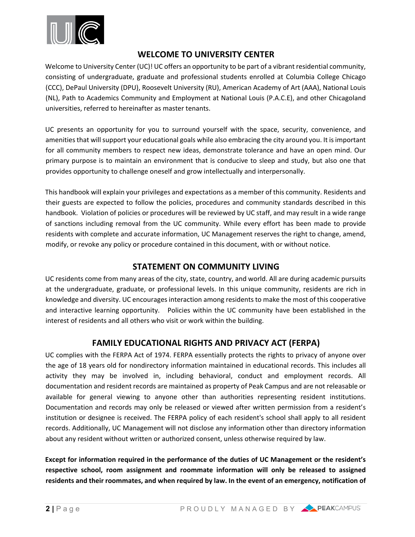

# **WELCOME TO UNIVERSITY CENTER**

Welcome to University Center (UC)! UC offers an opportunity to be part of a vibrant residential community, consisting of undergraduate, graduate and professional students enrolled at Columbia College Chicago (CCC), DePaul University (DPU), Roosevelt University (RU), American Academy of Art (AAA), National Louis (NL), Path to Academics Community and Employment at National Louis (P.A.C.E), and other Chicagoland universities, referred to hereinafter as master tenants.

UC presents an opportunity for you to surround yourself with the space, security, convenience, and amenities that will support your educational goals while also embracing the city around you. It is important for all community members to respect new ideas, demonstrate tolerance and have an open mind. Our primary purpose is to maintain an environment that is conducive to sleep and study, but also one that provides opportunity to challenge oneself and grow intellectually and interpersonally.

This handbook will explain your privileges and expectations as a member of this community. Residents and their guests are expected to follow the policies, procedures and community standards described in this handbook. Violation of policies or procedures will be reviewed by UC staff, and may result in a wide range of sanctions including removal from the UC community. While every effort has been made to provide residents with complete and accurate information, UC Management reserves the right to change, amend, modify, or revoke any policy or procedure contained in this document, with or without notice.

# **STATEMENT ON COMMUNITY LIVING**

UC residents come from many areas of the city, state, country, and world. All are during academic pursuits at the undergraduate, graduate, or professional levels. In this unique community, residents are rich in knowledge and diversity. UC encourages interaction among residents to make the most of this cooperative and interactive learning opportunity. Policies within the UC community have been established in the interest of residents and all others who visit or work within the building.

# **FAMILY EDUCATIONAL RIGHTS AND PRIVACY ACT (FERPA)**

UC complies with the FERPA Act of 1974. FERPA essentially protects the rights to privacy of anyone over the age of 18 years old for nondirectory information maintained in educational records. This includes all activity they may be involved in, including behavioral, conduct and employment records. All documentation and resident records are maintained as property of Peak Campus and are not releasable or available for general viewing to anyone other than authorities representing resident institutions. Documentation and records may only be released or viewed after written permission from a resident's institution or designee is received. The FERPA policy of each resident's school shall apply to all resident records. Additionally, UC Management will not disclose any information other than directory information about any resident without written or authorized consent, unless otherwise required by law.

**Except for information required in the performance of the duties of UC Management or the resident's respective school, room assignment and roommate information will only be released to assigned residents and their roommates, and when required by law. In the event of an emergency, notification of**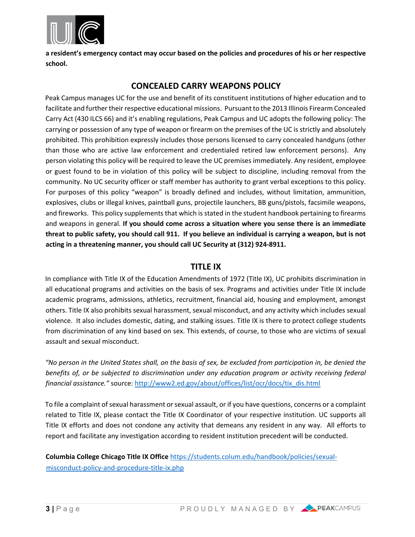

**a resident's emergency contact may occur based on the policies and procedures of his or her respective school.**

# **CONCEALED CARRY WEAPONS POLICY**

Peak Campus manages UC for the use and benefit of its constituent institutions of higher education and to facilitate and further their respective educational missions. Pursuant to the 2013 Illinois Firearm Concealed Carry Act (430 ILCS 66) and it's enabling regulations, Peak Campus and UC adopts the following policy: The carrying or possession of any type of weapon or firearm on the premises of the UC is strictly and absolutely prohibited. This prohibition expressly includes those persons licensed to carry concealed handguns (other than those who are active law enforcement and credentialed retired law enforcement persons). Any person violating this policy will be required to leave the UC premises immediately. Any resident, employee or guest found to be in violation of this policy will be subject to discipline, including removal from the community. No UC security officer or staff member has authority to grant verbal exceptions to this policy. For purposes of this policy "weapon" is broadly defined and includes, without limitation, ammunition, explosives, clubs or illegal knives, paintball guns, projectile launchers, BB guns/pistols, facsimile weapons, and fireworks. This policy supplements that which is stated in the student handbook pertaining to firearms and weapons in general. **If you should come across a situation where you sense there is an immediate threat to public safety, you should call 911. If you believe an individual is carrying a weapon, but is not acting in a threatening manner, you should call UC Security at (312) 924-8911.** 

## **TITLE IX**

In compliance with Title IX of the Education Amendments of 1972 (Title IX), UC prohibits discrimination in all educational programs and activities on the basis of sex. Programs and activities under Title IX include academic programs, admissions, athletics, recruitment, financial aid, housing and employment, amongst others. Title IX also prohibits sexual harassment, sexual misconduct, and any activity which includes sexual violence. It also includes domestic, dating, and stalking issues. Title IX is there to protect college students from discrimination of any kind based on sex. This extends, of course, to those who are victims of sexual assault and sexual misconduct.

*"No person in the United States shall, on the basis of sex, be excluded from participation in, be denied the*  benefits of, or be subjected to discrimination under any education program or activity receiving federal *financial assistance."* source: [http://www2.ed.gov/about/offices/list/ocr/docs/tix\\_dis.html](http://www2.ed.gov/about/offices/list/ocr/docs/tix_dis.html)

To file a complaint of sexual harassment or sexual assault, or if you have questions, concerns or a complaint related to Title IX, please contact the Title IX Coordinator of your respective institution. UC supports all Title IX efforts and does not condone any activity that demeans any resident in any way. All efforts to report and facilitate any investigation according to resident institution precedent will be conducted.

**Columbia College Chicago Title IX Office** [https://students.colum.edu/handbook/policies/sexual](https://students.colum.edu/handbook/policies/sexual-misconduct-policy-and-procedure-title-ix.php)[misconduct-policy-and-procedure-title-ix.php](https://students.colum.edu/handbook/policies/sexual-misconduct-policy-and-procedure-title-ix.php)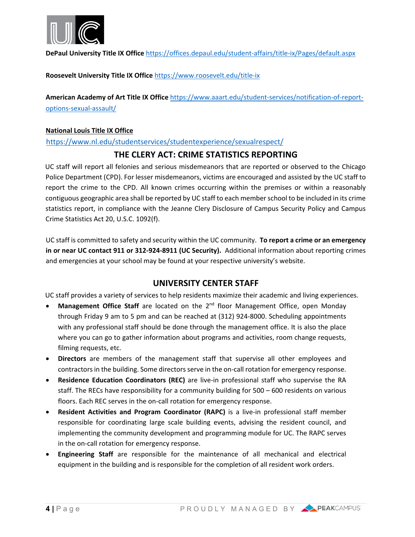

**DePaul University Title IX Office** <https://offices.depaul.edu/student-affairs/title-ix/Pages/default.aspx>

**Roosevelt University Title IX Office** <https://www.roosevelt.edu/title-ix>

**American Academy of Art Title IX Office** [https://www.aaart.edu/student-services/notification-of-report](https://www.aaart.edu/student-services/notification-of-report-options-sexual-assault/)[options-sexual-assault/](https://www.aaart.edu/student-services/notification-of-report-options-sexual-assault/)

#### **National Louis Title IX Office**

<https://www.nl.edu/studentservices/studentexperience/sexualrespect/>

# **THE CLERY ACT: CRIME STATISTICS REPORTING**

UC staff will report all felonies and serious misdemeanors that are reported or observed to the Chicago Police Department (CPD). For lesser misdemeanors, victims are encouraged and assisted by the UC staff to report the crime to the CPD. All known crimes occurring within the premises or within a reasonably contiguous geographic area shall be reported by UC staff to each member school to be included in its crime statistics report, in compliance with the Jeanne Clery Disclosure of Campus Security Policy and Campus Crime Statistics Act 20, U.S.C. 1092(f).

UC staff is committed to safety and security within the UC community. **To report a crime or an emergency in or near UC contact 911 or 312-924-8911 (UC Security).** Additional information about reporting crimes and emergencies at your school may be found at your respective university's website.

# **UNIVERSITY CENTER STAFF**

UC staff provides a variety of services to help residents maximize their academic and living experiences.

- Management Office Staff are located on the 2<sup>nd</sup> floor Management Office, open Monday through Friday 9 am to 5 pm and can be reached at (312) 924-8000. Scheduling appointments with any professional staff should be done through the management office. It is also the place where you can go to gather information about programs and activities, room change requests, filming requests, etc.
- **Directors** are members of the management staff that supervise all other employees and contractors in the building. Some directors serve in the on-call rotation for emergency response.
- **Residence Education Coordinators (REC)** are live-in professional staff who supervise the RA staff. The RECs have responsibility for a community building for 500 – 600 residents on various floors. Each REC serves in the on-call rotation for emergency response.
- **Resident Activities and Program Coordinator (RAPC)** is a live-in professional staff member responsible for coordinating large scale building events, advising the resident council, and implementing the community development and programming module for UC. The RAPC serves in the on-call rotation for emergency response.
- **Engineering Staff** are responsible for the maintenance of all mechanical and electrical equipment in the building and is responsible for the completion of all resident work orders.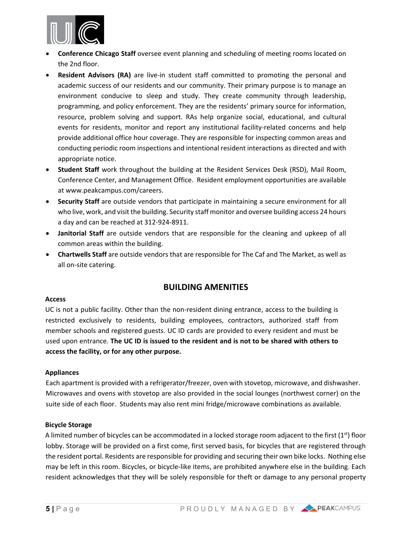

- **Conference Chicago Staff** oversee event planning and scheduling of meeting rooms located on the 2nd floor.
- **Resident Advisors (RA)** are live-in student staff committed to promoting the personal and academic success of our residents and our community. Their primary purpose is to manage an environment conducive to sleep and study. They create community through leadership, programming, and policy enforcement. They are the residents' primary source for information, resource, problem solving and support. RAs help organize social, educational, and cultural events for residents, monitor and report any institutional facility-related concerns and help provide additional office hour coverage. They are responsible for inspecting common areas and conducting periodic room inspections and intentional resident interactions as directed and with appropriate notice.
- **Student Staff** work throughout the building at the Resident Services Desk (RSD), Mail Room, Conference Center, and Management Office. Resident employment opportunities are available at www.peakcampus.com/careers.
- **Security Staff** are outside vendors that participate in maintaining a secure environment for all who live, work, and visit the building. Security staff monitor and oversee building access 24 hours a day and can be reached at 312-924-8911.
- **Janitorial Staff** are outside vendors that are responsible for the cleaning and upkeep of all common areas within the building.
- **Chartwells Staff** are outside vendors that are responsible for The Caf and The Market, as well as all on-site catering.

# **BUILDING AMENITIES**

#### **Access**

UC is not a public facility. Other than the non-resident dining entrance, access to the building is restricted exclusively to residents, building employees, contractors, authorized staff from member schools and registered guests. UC ID cards are provided to every resident and must be used upon entrance. **The UC ID is issued to the resident and is not to be shared with others to access the facility, or for any other purpose.**

#### **Appliances**

Each apartment is provided with a refrigerator/freezer, oven with stovetop, microwave, and dishwasher. Microwaves and ovens with stovetop are also provided in the social lounges (northwest corner) on the suite side of each floor. Students may also rent mini fridge/microwave combinations as available.

#### **Bicycle Storage**

A limited number of bicycles can be accommodated in a locked storage room adjacent to the first  $(1<sup>st</sup>)$  floor lobby. Storage will be provided on a first come, first served basis, for bicycles that are registered through the resident portal. Residents are responsible for providing and securing their own bike locks. Nothing else may be left in this room. Bicycles, or bicycle-like items, are prohibited anywhere else in the building. Each resident acknowledges that they will be solely responsible for theft or damage to any personal property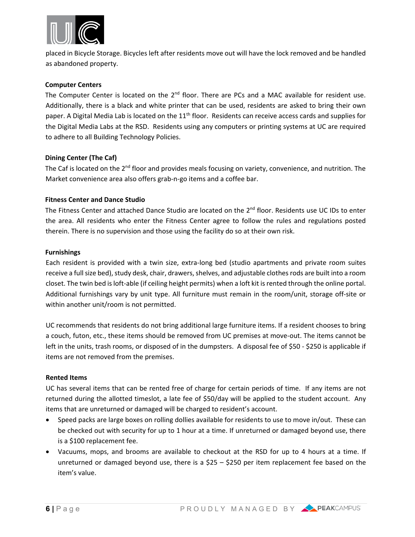

placed in Bicycle Storage. Bicycles left after residents move out will have the lock removed and be handled as abandoned property.

#### **Computer Centers**

The Computer Center is located on the  $2<sup>nd</sup>$  floor. There are PCs and a MAC available for resident use. Additionally, there is a black and white printer that can be used, residents are asked to bring their own paper. A Digital Media Lab is located on the 11<sup>th</sup> floor. Residents can receive access cards and supplies for the Digital Media Labs at the RSD. Residents using any computers or printing systems at UC are required to adhere to all Building Technology Policies.

#### **Dining Center (The Caf)**

The Caf is located on the  $2^{nd}$  floor and provides meals focusing on variety, convenience, and nutrition. The Market convenience area also offers grab-n-go items and a coffee bar.

#### **Fitness Center and Dance Studio**

The Fitness Center and attached Dance Studio are located on the  $2<sup>nd</sup>$  floor. Residents use UC IDs to enter the area. All residents who enter the Fitness Center agree to follow the rules and regulations posted therein. There is no supervision and those using the facility do so at their own risk.

#### **Furnishings**

Each resident is provided with a twin size, extra-long bed (studio apartments and private room suites receive a fullsize bed), study desk, chair, drawers, shelves, and adjustable clothes rods are built into a room closet. The twin bed is loft-able (if ceiling height permits) when a loft kit is rented through the online portal. Additional furnishings vary by unit type. All furniture must remain in the room/unit, storage off-site or within another unit/room is not permitted.

UC recommends that residents do not bring additional large furniture items. If a resident chooses to bring a couch, futon, etc., these items should be removed from UC premises at move-out. The items cannot be left in the units, trash rooms, or disposed of in the dumpsters. A disposal fee of \$50 - \$250 is applicable if items are not removed from the premises.

#### **Rented Items**

UC has several items that can be rented free of charge for certain periods of time. If any items are not returned during the allotted timeslot, a late fee of \$50/day will be applied to the student account. Any items that are unreturned or damaged will be charged to resident's account.

- Speed packs are large boxes on rolling dollies available for residents to use to move in/out. These can be checked out with security for up to 1 hour at a time. If unreturned or damaged beyond use, there is a \$100 replacement fee.
- Vacuums, mops, and brooms are available to checkout at the RSD for up to 4 hours at a time. If unreturned or damaged beyond use, there is a  $$25 - $250$  per item replacement fee based on the item's value.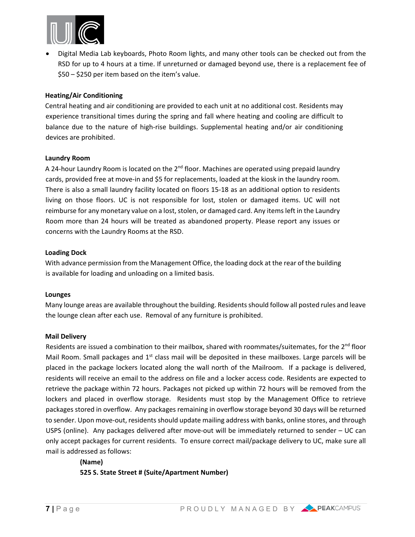

• Digital Media Lab keyboards, Photo Room lights, and many other tools can be checked out from the RSD for up to 4 hours at a time. If unreturned or damaged beyond use, there is a replacement fee of \$50 – \$250 per item based on the item's value.

#### **Heating/Air Conditioning**

Central heating and air conditioning are provided to each unit at no additional cost. Residents may experience transitional times during the spring and fall where heating and cooling are difficult to balance due to the nature of high-rise buildings. Supplemental heating and/or air conditioning devices are prohibited.

#### **Laundry Room**

A 24-hour Laundry Room is located on the  $2^{nd}$  floor. Machines are operated using prepaid laundry cards, provided free at move-in and \$5 for replacements, loaded at the kiosk in the laundry room. There is also a small laundry facility located on floors 15-18 as an additional option to residents living on those floors. UC is not responsible for lost, stolen or damaged items. UC will not reimburse for any monetary value on a lost, stolen, or damaged card. Any items left in the Laundry Room more than 24 hours will be treated as abandoned property. Please report any issues or concerns with the Laundry Rooms at the RSD.

#### **Loading Dock**

With advance permission from the Management Office, the loading dock at the rear of the building is available for loading and unloading on a limited basis.

#### **Lounges**

Many lounge areas are available throughout the building. Residents should follow all posted rules and leave the lounge clean after each use. Removal of any furniture is prohibited.

#### **Mail Delivery**

Residents are issued a combination to their mailbox, shared with roommates/suitemates, for the 2<sup>nd</sup> floor Mail Room. Small packages and  $1<sup>st</sup>$  class mail will be deposited in these mailboxes. Large parcels will be placed in the package lockers located along the wall north of the Mailroom. If a package is delivered, residents will receive an email to the address on file and a locker access code. Residents are expected to retrieve the package within 72 hours. Packages not picked up within 72 hours will be removed from the lockers and placed in overflow storage. Residents must stop by the Management Office to retrieve packages stored in overflow. Any packages remaining in overflow storage beyond 30 days will be returned to sender. Upon move-out, residents should update mailing address with banks, online stores, and through USPS (online). Any packages delivered after move-out will be immediately returned to sender – UC can only accept packages for current residents. To ensure correct mail/package delivery to UC, make sure all mail is addressed as follows:

**(Name) 525 S. State Street # (Suite/Apartment Number)**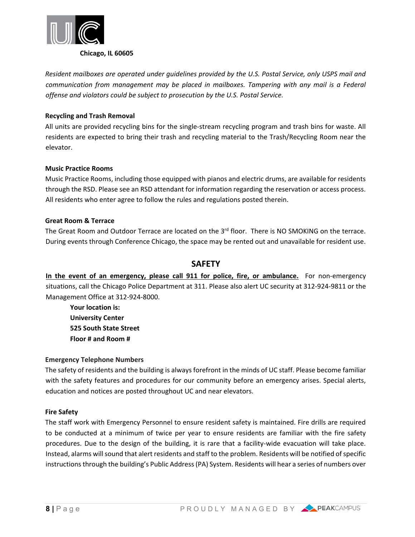

*Resident mailboxes are operated under guidelines provided by the U.S. Postal Service, only USPS mail and communication from management may be placed in mailboxes. Tampering with any mail is a Federal offense and violators could be subject to prosecution by the U.S. Postal Service.*

#### **Recycling and Trash Removal**

All units are provided recycling bins for the single-stream recycling program and trash bins for waste. All residents are expected to bring their trash and recycling material to the Trash/Recycling Room near the elevator.

#### **Music Practice Rooms**

Music Practice Rooms, including those equipped with pianos and electric drums, are available for residents through the RSD. Please see an RSD attendant for information regarding the reservation or access process. All residents who enter agree to follow the rules and regulations posted therein.

#### **Great Room & Terrace**

The Great Room and Outdoor Terrace are located on the 3<sup>rd</sup> floor. There is NO SMOKING on the terrace. During events through Conference Chicago, the space may be rented out and unavailable for resident use.

## **SAFETY**

**In the event of an emergency, please call 911 for police, fire, or ambulance.** For non-emergency situations, call the Chicago Police Department at 311. Please also alert UC security at 312-924-9811 or the Management Office at 312-924-8000.

**Your location is: University Center 525 South State Street Floor # and Room #** 

#### **Emergency Telephone Numbers**

The safety of residents and the building is always forefront in the minds of UC staff. Please become familiar with the safety features and procedures for our community before an emergency arises. Special alerts, education and notices are posted throughout UC and near elevators.

#### **Fire Safety**

The staff work with Emergency Personnel to ensure resident safety is maintained. Fire drills are required to be conducted at a minimum of twice per year to ensure residents are familiar with the fire safety procedures. Due to the design of the building, it is rare that a facility-wide evacuation will take place. Instead, alarms will sound that alert residents and staff to the problem. Residents will be notified of specific instructions through the building's Public Address (PA) System. Residents will hear a series of numbers over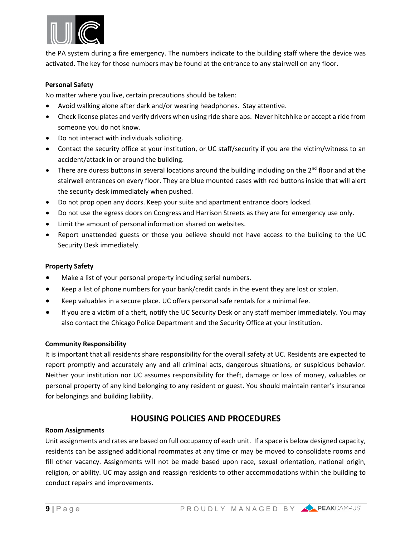

the PA system during a fire emergency. The numbers indicate to the building staff where the device was activated. The key for those numbers may be found at the entrance to any stairwell on any floor.

#### **Personal Safety**

No matter where you live, certain precautions should be taken:

- Avoid walking alone after dark and/or wearing headphones. Stay attentive.
- Check license plates and verify drivers when using ride share aps. Never hitchhike or accept a ride from someone you do not know.
- Do not interact with individuals soliciting.
- Contact the security office at your institution, or UC staff/security if you are the victim/witness to an accident/attack in or around the building.
- There are duress buttons in several locations around the building including on the  $2^{nd}$  floor and at the stairwell entrances on every floor. They are blue mounted cases with red buttons inside that will alert the security desk immediately when pushed.
- Do not prop open any doors. Keep your suite and apartment entrance doors locked.
- Do not use the egress doors on Congress and Harrison Streets as they are for emergency use only.
- Limit the amount of personal information shared on websites.
- Report unattended guests or those you believe should not have access to the building to the UC Security Desk immediately.

#### **Property Safety**

- Make a list of your personal property including serial numbers.
- Keep a list of phone numbers for your bank/credit cards in the event they are lost or stolen.
- Keep valuables in a secure place. UC offers personal safe rentals for a minimal fee.
- If you are a victim of a theft, notify the UC Security Desk or any staff member immediately. You may also contact the Chicago Police Department and the Security Office at your institution.

#### **Community Responsibility**

It is important that all residents share responsibility for the overall safety at UC. Residents are expected to report promptly and accurately any and all criminal acts, dangerous situations, or suspicious behavior. Neither your institution nor UC assumes responsibility for theft, damage or loss of money, valuables or personal property of any kind belonging to any resident or guest. You should maintain renter's insurance for belongings and building liability.

# **HOUSING POLICIES AND PROCEDURES**

#### **Room Assignments**

Unit assignments and rates are based on full occupancy of each unit. If a space is below designed capacity, residents can be assigned additional roommates at any time or may be moved to consolidate rooms and fill other vacancy. Assignments will not be made based upon race, sexual orientation, national origin, religion, or ability. UC may assign and reassign residents to other accommodations within the building to conduct repairs and improvements.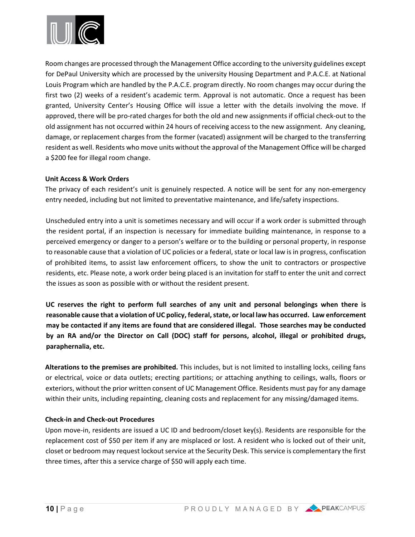

Room changes are processed through the Management Office according to the university guidelines except for DePaul University which are processed by the university Housing Department and P.A.C.E. at National Louis Program which are handled by the P.A.C.E. program directly. No room changes may occur during the first two (2) weeks of a resident's academic term. Approval is not automatic. Once a request has been granted, University Center's Housing Office will issue a letter with the details involving the move. If approved, there will be pro-rated charges for both the old and new assignments if official check-out to the old assignment has not occurred within 24 hours of receiving access to the new assignment. Any cleaning, damage, or replacement charges from the former (vacated) assignment will be charged to the transferring resident as well. Residents who move units without the approval of the Management Office will be charged a \$200 fee for illegal room change.

#### **Unit Access & Work Orders**

The privacy of each resident's unit is genuinely respected. A notice will be sent for any non-emergency entry needed, including but not limited to preventative maintenance, and life/safety inspections.

Unscheduled entry into a unit is sometimes necessary and will occur if a work order is submitted through the resident portal, if an inspection is necessary for immediate building maintenance, in response to a perceived emergency or danger to a person's welfare or to the building or personal property, in response to reasonable cause that a violation of UC policies or a federal, state or local law is in progress, confiscation of prohibited items, to assist law enforcement officers, to show the unit to contractors or prospective residents, etc. Please note, a work order being placed is an invitation for staff to enter the unit and correct the issues as soon as possible with or without the resident present.

**UC reserves the right to perform full searches of any unit and personal belongings when there is reasonable cause that a violation of UC policy, federal, state, or local law has occurred. Law enforcement may be contacted if any items are found that are considered illegal. Those searches may be conducted by an RA and/or the Director on Call (DOC) staff for persons, alcohol, illegal or prohibited drugs, paraphernalia, etc.** 

**Alterations to the premises are prohibited.** This includes, but is not limited to installing locks, ceiling fans or electrical, voice or data outlets; erecting partitions; or attaching anything to ceilings, walls, floors or exteriors, without the prior written consent of UC Management Office. Residents must pay for any damage within their units, including repainting, cleaning costs and replacement for any missing/damaged items.

#### **Check-in and Check-out Procedures**

Upon move-in, residents are issued a UC ID and bedroom/closet key(s). Residents are responsible for the replacement cost of \$50 per item if any are misplaced or lost. A resident who is locked out of their unit, closet or bedroom may request lockout service at the Security Desk. This service is complementary the first three times, after this a service charge of \$50 will apply each time.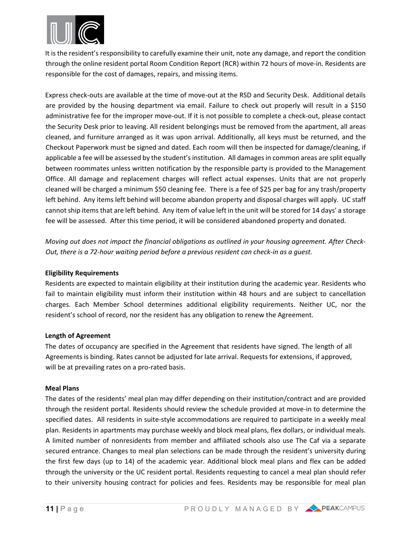

It is the resident's responsibility to carefully examine their unit, note any damage, and report the condition through the online resident portal Room Condition Report (RCR) within 72 hours of move-in. Residents are responsible for the cost of damages, repairs, and missing items.

Express check-outs are available at the time of move-out at the RSD and Security Desk. Additional details are provided by the housing department via email. Failure to check out properly will result in a \$150 administrative fee for the improper move-out. If it is not possible to complete a check-out, please contact the Security Desk prior to leaving. All resident belongings must be removed from the apartment, all areas cleaned, and furniture arranged as it was upon arrival. Additionally, all keys must be returned, and the Checkout Paperwork must be signed and dated. Each room will then be inspected for damage/cleaning, if applicable a fee will be assessed by the student's institution. All damages in common areas are split equally between roommates unless written notification by the responsible party is provided to the Management Office. All damage and replacement charges will reflect actual expenses. Units that are not properly cleaned will be charged a minimum \$50 cleaning fee. There is a fee of \$25 per bag for any trash/property left behind. Any items left behind will become abandon property and disposal charges will apply. UC staff cannot ship items that are left behind. Any item of value left in the unit will be stored for 14 days' a storage fee will be assessed. After this time period, it will be considered abandoned property and donated.

*Moving out does not impact the financial obligations as outlined in your housing agreement. After Check-Out, there is a 72-hour waiting period before a previous resident can check-in as a guest.*

#### **Eligibility Requirements**

Residents are expected to maintain eligibility at their institution during the academic year. Residents who fail to maintain eligibility must inform their institution within 48 hours and are subject to cancellation charges. Each Member School determines additional eligibility requirements. Neither UC, nor the resident's school of record, nor the resident has any obligation to renew the Agreement.

#### **Length of Agreement**

The dates of occupancy are specified in the Agreement that residents have signed. The length of all Agreements is binding. Rates cannot be adjusted for late arrival. Requests for extensions, if approved, will be at prevailing rates on a pro-rated basis.

#### **Meal Plans**

The dates of the residents' meal plan may differ depending on their institution/contract and are provided through the resident portal. Residents should review the schedule provided at move-in to determine the specified dates. All residents in suite-style accommodations are required to participate in a weekly meal plan. Residents in apartments may purchase weekly and block meal plans, flex dollars, or individual meals. A limited number of nonresidents from member and affiliated schools also use The Caf via a separate secured entrance. Changes to meal plan selections can be made through the resident's university during the first few days (up to 14) of the academic year. Additional block meal plans and flex can be added through the university or the UC resident portal. Residents requesting to cancel a meal plan should refer to their university housing contract for policies and fees. Residents may be responsible for meal plan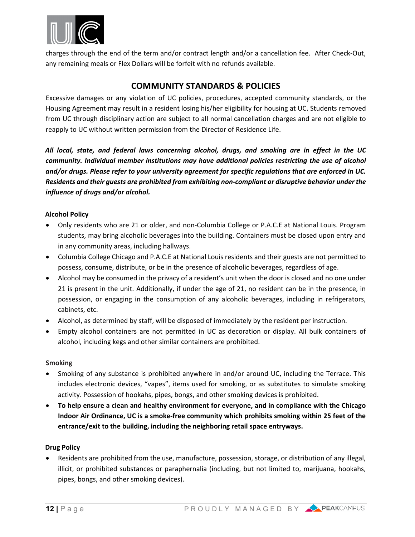

charges through the end of the term and/or contract length and/or a cancellation fee. After Check-Out, any remaining meals or Flex Dollars will be forfeit with no refunds available.

# **COMMUNITY STANDARDS & POLICIES**

Excessive damages or any violation of UC policies, procedures, accepted community standards, or the Housing Agreement may result in a resident losing his/her eligibility for housing at UC. Students removed from UC through disciplinary action are subject to all normal cancellation charges and are not eligible to reapply to UC without written permission from the Director of Residence Life.

*All local, state, and federal laws concerning alcohol, drugs, and smoking are in effect in the UC community. Individual member institutions may have additional policies restricting the use of alcohol and/or drugs. Please refer to your university agreement for specific regulations that are enforced in UC. Residents and their guests are prohibited from exhibiting non-compliant or disruptive behavior under the influence of drugs and/or alcohol.*

#### **Alcohol Policy**

- Only residents who are 21 or older, and non-Columbia College or P.A.C.E at National Louis. Program students, may bring alcoholic beverages into the building. Containers must be closed upon entry and in any community areas, including hallways.
- Columbia College Chicago and P.A.C.E at National Louis residents and their guests are not permitted to possess, consume, distribute, or be in the presence of alcoholic beverages, regardless of age.
- Alcohol may be consumed in the privacy of a resident's unit when the door is closed and no one under 21 is present in the unit. Additionally, if under the age of 21, no resident can be in the presence, in possession, or engaging in the consumption of any alcoholic beverages, including in refrigerators, cabinets, etc.
- Alcohol, as determined by staff, will be disposed of immediately by the resident per instruction.
- Empty alcohol containers are not permitted in UC as decoration or display. All bulk containers of alcohol, including kegs and other similar containers are prohibited.

#### **Smoking**

- Smoking of any substance is prohibited anywhere in and/or around UC, including the Terrace. This includes electronic devices, "vapes", items used for smoking, or as substitutes to simulate smoking activity. Possession of hookahs, pipes, bongs, and other smoking devices is prohibited.
- **To help ensure a clean and healthy environment for everyone, and in compliance with the Chicago Indoor Air Ordinance, UC is a smoke-free community which prohibits smoking within 25 feet of the entrance/exit to the building, including the neighboring retail space entryways.**

#### **Drug Policy**

• Residents are prohibited from the use, manufacture, possession, storage, or distribution of any illegal, illicit, or prohibited substances or paraphernalia (including, but not limited to, marijuana, hookahs, pipes, bongs, and other smoking devices).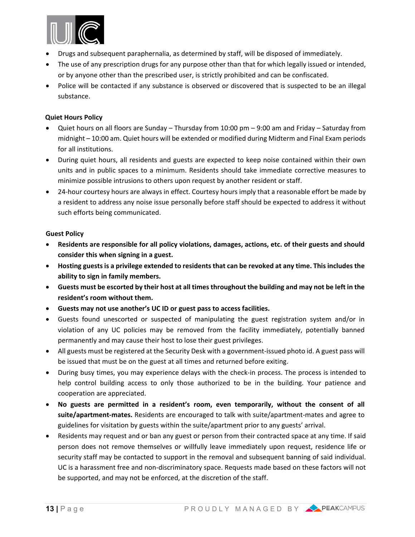

- Drugs and subsequent paraphernalia, as determined by staff, will be disposed of immediately.
- The use of any prescription drugs for any purpose other than that for which legally issued or intended, or by anyone other than the prescribed user, is strictly prohibited and can be confiscated.
- Police will be contacted if any substance is observed or discovered that is suspected to be an illegal substance.

#### **Quiet Hours Policy**

- Quiet hours on all floors are Sunday Thursday from 10:00 pm 9:00 am and Friday Saturday from midnight – 10:00 am. Quiet hours will be extended or modified during Midterm and Final Exam periods for all institutions.
- During quiet hours, all residents and guests are expected to keep noise contained within their own units and in public spaces to a minimum. Residents should take immediate corrective measures to minimize possible intrusions to others upon request by another resident or staff.
- 24-hour courtesy hours are always in effect. Courtesy hours imply that a reasonable effort be made by a resident to address any noise issue personally before staff should be expected to address it without such efforts being communicated.

#### **Guest Policy**

- **Residents are responsible for all policy violations, damages, actions, etc. of their guests and should consider this when signing in a guest.**
- **Hosting guests is a privilege extended to residents that can be revoked at any time. This includes the ability to sign in family members.**
- **Guests must be escorted by their host at all times throughout the building and may not be left in the resident's room without them.**
- **Guests may not use another's UC ID or guest pass to access facilities.**
- Guests found unescorted or suspected of manipulating the guest registration system and/or in violation of any UC policies may be removed from the facility immediately, potentially banned permanently and may cause their host to lose their guest privileges.
- All guests must be registered at the Security Desk with a government-issued photo id. A guest pass will be issued that must be on the guest at all times and returned before exiting.
- During busy times, you may experience delays with the check-in process. The process is intended to help control building access to only those authorized to be in the building. Your patience and cooperation are appreciated.
- **No guests are permitted in a resident's room, even temporarily, without the consent of all suite/apartment-mates.** Residents are encouraged to talk with suite/apartment-mates and agree to guidelines for visitation by guests within the suite/apartment prior to any guests' arrival.
- Residents may request and or ban any guest or person from their contracted space at any time. If said person does not remove themselves or willfully leave immediately upon request, residence life or security staff may be contacted to support in the removal and subsequent banning of said individual. UC is a harassment free and non-discriminatory space. Requests made based on these factors will not be supported, and may not be enforced, at the discretion of the staff.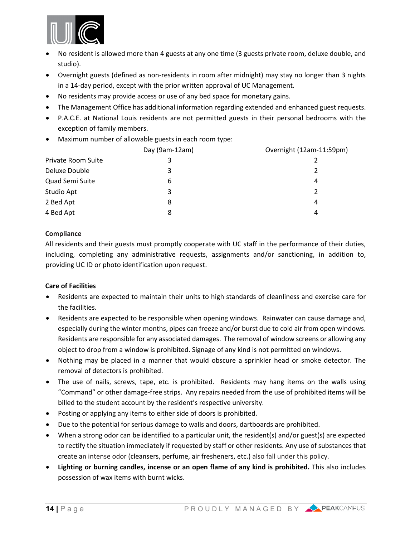

- No resident is allowed more than 4 guests at any one time (3 guests private room, deluxe double, and studio).
- Overnight guests (defined as non-residents in room after midnight) may stay no longer than 3 nights in a 14-day period, except with the prior written approval of UC Management.
- No residents may provide access or use of any bed space for monetary gains.
- The Management Office has additional information regarding extended and enhanced guest requests.
- P.A.C.E. at National Louis residents are not permitted guests in their personal bedrooms with the exception of family members.
- Maximum number of allowable guests in each room type:

|                           | Day (9am-12am) | Overnight (12am-11:59pm) |
|---------------------------|----------------|--------------------------|
| <b>Private Room Suite</b> | 3              |                          |
| Deluxe Double             | 3              |                          |
| Quad Semi Suite           | 6              | 4                        |
| Studio Apt                | 3              | $\mathcal{P}$            |
| 2 Bed Apt                 | 8              | 4                        |
| 4 Bed Apt                 | 8              | 4                        |
|                           |                |                          |

#### **Compliance**

All residents and their guests must promptly cooperate with UC staff in the performance of their duties, including, completing any administrative requests, assignments and/or sanctioning, in addition to, providing UC ID or photo identification upon request.

#### **Care of Facilities**

- Residents are expected to maintain their units to high standards of cleanliness and exercise care for the facilities.
- Residents are expected to be responsible when opening windows. Rainwater can cause damage and, especially during the winter months, pipes can freeze and/or burst due to cold air from open windows. Residents are responsible for any associated damages. The removal of window screens or allowing any object to drop from a window is prohibited. Signage of any kind is not permitted on windows.
- Nothing may be placed in a manner that would obscure a sprinkler head or smoke detector. The removal of detectors is prohibited.
- The use of nails, screws, tape, etc. is prohibited. Residents may hang items on the walls using "Command" or other damage-free strips. Any repairs needed from the use of prohibited items will be billed to the student account by the resident's respective university.
- Posting or applying any items to either side of doors is prohibited.
- Due to the potential for serious damage to walls and doors, dartboards are prohibited.
- When a strong odor can be identified to a particular unit, the resident(s) and/or guest(s) are expected to rectify the situation immediately if requested by staff or other residents. Any use of substances that create an intense odor (cleansers, perfume, air fresheners, etc.) also fall under this policy.
- **Lighting or burning candles, incense or an open flame of any kind is prohibited.** This also includes possession of wax items with burnt wicks.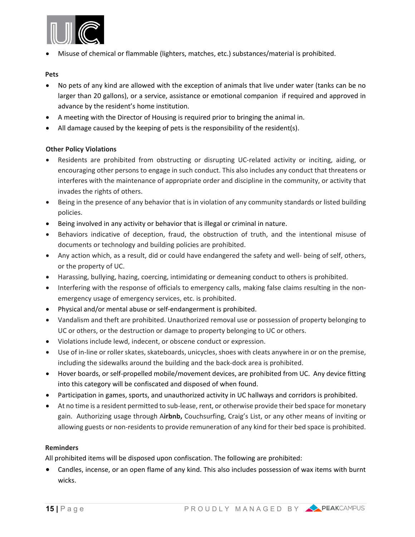

• Misuse of chemical or flammable (lighters, matches, etc.) substances/material is prohibited.

#### **Pets**

- No pets of any kind are allowed with the exception of animals that live under water (tanks can be no larger than 20 gallons), or a service, assistance or emotional companion if required and approved in advance by the resident's home institution.
- A meeting with the Director of Housing is required prior to bringing the animal in.
- All damage caused by the keeping of pets is the responsibility of the resident(s).

#### **Other Policy Violations**

- Residents are prohibited from obstructing or disrupting UC-related activity or inciting, aiding, or encouraging other persons to engage in such conduct. This also includes any conduct that threatens or interferes with the maintenance of appropriate order and discipline in the community, or activity that invades the rights of others.
- Being in the presence of any behavior that is in violation of any community standards or listed building policies.
- Being involved in any activity or behavior that is illegal or criminal in nature.
- Behaviors indicative of deception, fraud, the obstruction of truth, and the intentional misuse of documents or technology and building policies are prohibited.
- Any action which, as a result, did or could have endangered the safety and well- being of self, others, or the property of UC.
- Harassing, bullying, hazing, coercing, intimidating or demeaning conduct to others is prohibited.
- Interfering with the response of officials to emergency calls, making false claims resulting in the nonemergency usage of emergency services, etc. is prohibited.
- Physical and/or mental abuse or self-endangerment is prohibited.
- Vandalism and theft are prohibited. Unauthorized removal use or possession of property belonging to UC or others, or the destruction or damage to property belonging to UC or others.
- Violations include lewd, indecent, or obscene conduct or expression.
- Use of in-line or roller skates, skateboards, unicycles, shoes with cleats anywhere in or on the premise, including the sidewalks around the building and the back-dock area is prohibited.
- Hover boards, or self-propelled mobile/movement devices, are prohibited from UC. Any device fitting into this category will be confiscated and disposed of when found.
- Participation in games, sports, and unauthorized activity in UC hallways and corridors is prohibited.
- At no time is a resident permitted to sub-lease, rent, or otherwise provide their bed space for monetary gain. Authorizing usage through A**irbnb,** Couchsurfing, Craig's List, or any other means of inviting or allowing guests or non-residents to provide remuneration of any kind for their bed space is prohibited.

#### **Reminders**

All prohibited items will be disposed upon confiscation. The following are prohibited:

• Candles, incense, or an open flame of any kind. This also includes possession of wax items with burnt wicks.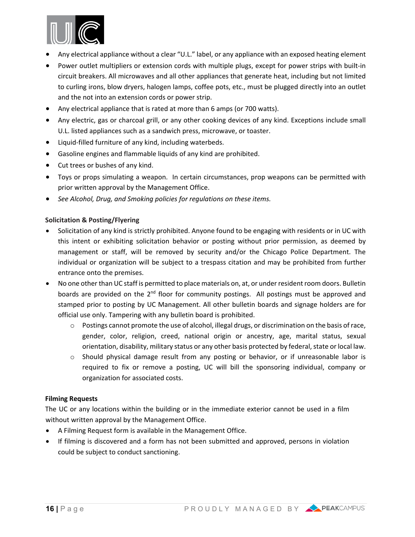

- Any electrical appliance without a clear "U.L." label, or any appliance with an exposed heating element
- Power outlet multipliers or extension cords with multiple plugs, except for power strips with built-in circuit breakers. All microwaves and all other appliances that generate heat, including but not limited to curling irons, blow dryers, halogen lamps, coffee pots, etc., must be plugged directly into an outlet and the not into an extension cords or power strip.
- Any electrical appliance that is rated at more than 6 amps (or 700 watts).
- Any electric, gas or charcoal grill, or any other cooking devices of any kind. Exceptions include small U.L. listed appliances such as a sandwich press, microwave, or toaster.
- Liquid-filled furniture of any kind, including waterbeds.
- Gasoline engines and flammable liquids of any kind are prohibited.
- Cut trees or bushes of any kind.
- Toys or props simulating a weapon. In certain circumstances, prop weapons can be permitted with prior written approval by the Management Office.
- *See Alcohol, Drug, and Smoking policies for regulations on these items.*

#### **Solicitation & Posting/Flyering**

- Solicitation of any kind is strictly prohibited. Anyone found to be engaging with residents or in UC with this intent or exhibiting solicitation behavior or posting without prior permission, as deemed by management or staff, will be removed by security and/or the Chicago Police Department. The individual or organization will be subject to a trespass citation and may be prohibited from further entrance onto the premises.
- No one other than UC staff is permitted to place materials on, at, or under resident room doors. Bulletin boards are provided on the 2<sup>nd</sup> floor for community postings. All postings must be approved and stamped prior to posting by UC Management. All other bulletin boards and signage holders are for official use only. Tampering with any bulletin board is prohibited.
	- $\circ$  Postings cannot promote the use of alcohol, illegal drugs, or discrimination on the basis of race, gender, color, religion, creed, national origin or ancestry, age, marital status, sexual orientation, disability, military status or any other basis protected by federal, state or local law.
	- o Should physical damage result from any posting or behavior, or if unreasonable labor is required to fix or remove a posting, UC will bill the sponsoring individual, company or organization for associated costs.

#### **Filming Requests**

The UC or any locations within the building or in the immediate exterior cannot be used in a film without written approval by the Management Office.

- A Filming Request form is available in the Management Office.
- If filming is discovered and a form has not been submitted and approved, persons in violation could be subject to conduct sanctioning.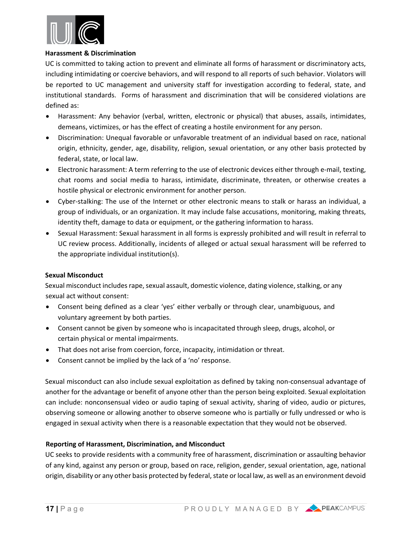

#### **Harassment & Discrimination**

UC is committed to taking action to prevent and eliminate all forms of harassment or discriminatory acts, including intimidating or coercive behaviors, and will respond to all reports of such behavior. Violators will be reported to UC management and university staff for investigation according to federal, state, and institutional standards. Forms of harassment and discrimination that will be considered violations are defined as:

- Harassment: Any behavior (verbal, written, electronic or physical) that abuses, assails, intimidates, demeans, victimizes, or has the effect of creating a hostile environment for any person.
- Discrimination: Unequal favorable or unfavorable treatment of an individual based on race, national origin, ethnicity, gender, age, disability, religion, sexual orientation, or any other basis protected by federal, state, or local law.
- Electronic harassment: A term referring to the use of electronic devices either through e-mail, texting, chat rooms and social media to harass, intimidate, discriminate, threaten, or otherwise creates a hostile physical or electronic environment for another person.
- Cyber-stalking: The use of the Internet or other electronic means to stalk or harass an individual, a group of individuals, or an organization. It may include false accusations, monitoring, making threats, identity theft, damage to data or equipment, or the gathering information to harass.
- Sexual Harassment: Sexual harassment in all forms is expressly prohibited and will result in referral to UC review process. Additionally, incidents of alleged or actual sexual harassment will be referred to the appropriate individual institution(s).

#### **Sexual Misconduct**

Sexual misconduct includes rape, sexual assault, domestic violence, dating violence, stalking, or any sexual act without consent:

- Consent being defined as a clear 'yes' either verbally or through clear, unambiguous, and voluntary agreement by both parties.
- Consent cannot be given by someone who is incapacitated through sleep, drugs, alcohol, or certain physical or mental impairments.
- That does not arise from coercion, force, incapacity, intimidation or threat.
- Consent cannot be implied by the lack of a 'no' response.

Sexual misconduct can also include sexual exploitation as defined by taking non-consensual advantage of another for the advantage or benefit of anyone other than the person being exploited. Sexual exploitation can include: nonconsensual video or audio taping of sexual activity, sharing of video, audio or pictures, observing someone or allowing another to observe someone who is partially or fully undressed or who is engaged in sexual activity when there is a reasonable expectation that they would not be observed.

#### **Reporting of Harassment, Discrimination, and Misconduct**

UC seeks to provide residents with a community free of harassment, discrimination or assaulting behavior of any kind, against any person or group, based on race, religion, gender, sexual orientation, age, national origin, disability or any other basis protected by federal, state or local law, as well as an environment devoid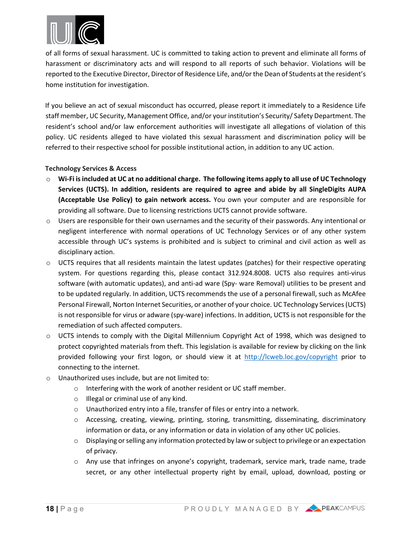

of all forms of sexual harassment. UC is committed to taking action to prevent and eliminate all forms of harassment or discriminatory acts and will respond to all reports of such behavior. Violations will be reported to the Executive Director, Director of Residence Life, and/or the Dean of Students at the resident's home institution for investigation.

If you believe an act of sexual misconduct has occurred, please report it immediately to a Residence Life staff member, UC Security, Management Office, and/or your institution's Security/ Safety Department. The resident's school and/or law enforcement authorities will investigate all allegations of violation of this policy. UC residents alleged to have violated this sexual harassment and discrimination policy will be referred to their respective school for possible institutional action, in addition to any UC action.

#### **Technology Services & Access**

- o **Wi-Fi isincluded at UC at no additional charge. The following items apply to all use of UC Technology Services (UCTS). In addition, residents are required to agree and abide by all SingleDigits AUPA (Acceptable Use Policy) to gain network access.** You own your computer and are responsible for providing all software. Due to licensing restrictions UCTS cannot provide software.
- $\circ$  Users are responsible for their own usernames and the security of their passwords. Any intentional or negligent interference with normal operations of UC Technology Services or of any other system accessible through UC's systems is prohibited and is subject to criminal and civil action as well as disciplinary action.
- $\circ$  UCTS requires that all residents maintain the latest updates (patches) for their respective operating system. For questions regarding this, please contact 312.924.8008. UCTS also requires anti-virus software (with automatic updates), and anti-ad ware (Spy- ware Removal) utilities to be present and to be updated regularly. In addition, UCTS recommends the use of a personal firewall, such as McAfee Personal Firewall, Norton Internet Securities, or another of your choice. UC Technology Services (UCTS) is not responsible for virus or adware (spy-ware) infections. In addition, UCTS is not responsible for the remediation of such affected computers.
- $\circ$  UCTS intends to comply with the Digital Millennium Copyright Act of 1998, which was designed to protect copyrighted materials from theft. This legislation is available for review by clicking on the link provided following your first logon, or should view it at <http://lcweb.loc.gov/copyright> prior to connecting to the internet.
- o Unauthorized uses include, but are not limited to:
	- o Interfering with the work of another resident or UC staff member.
	- o Illegal or criminal use of any kind.
	- o Unauthorized entry into a file, transfer of files or entry into a network.
	- o Accessing, creating, viewing, printing, storing, transmitting, disseminating, discriminatory information or data, or any information or data in violation of any other UC policies.
	- o Displaying or selling any information protected by law or subject to privilege or an expectation of privacy.
	- o Any use that infringes on anyone's copyright, trademark, service mark, trade name, trade secret, or any other intellectual property right by email, upload, download, posting or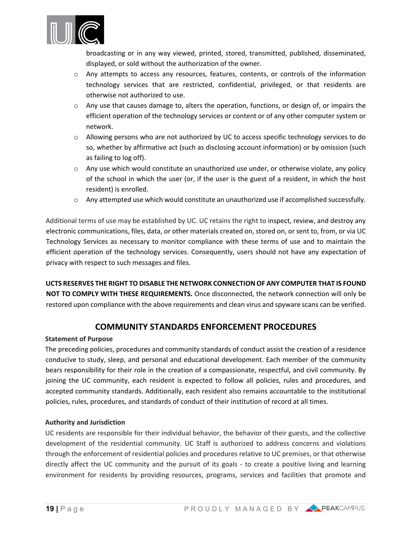

broadcasting or in any way viewed, printed, stored, transmitted, published, disseminated, displayed, or sold without the authorization of the owner.

- o Any attempts to access any resources, features, contents, or controls of the information technology services that are restricted, confidential, privileged, or that residents are otherwise not authorized to use.
- $\circ$  Any use that causes damage to, alters the operation, functions, or design of, or impairs the efficient operation of the technology services or content or of any other computer system or network.
- o Allowing persons who are not authorized by UC to access specific technology services to do so, whether by affirmative act (such as disclosing account information) or by omission (such as failing to log off).
- $\circ$  Any use which would constitute an unauthorized use under, or otherwise violate, any policy of the school in which the user (or, if the user is the guest of a resident, in which the host resident) is enrolled.
- o Any attempted use which would constitute an unauthorized use if accomplished successfully.

Additional terms of use may be established by UC. UC retains the right to inspect, review, and destroy any electronic communications, files, data, or other materials created on, stored on, or sent to, from, or via UC Technology Services as necessary to monitor compliance with these terms of use and to maintain the efficient operation of the technology services. Consequently, users should not have any expectation of privacy with respect to such messages and files.

**UCTS RESERVES THE RIGHT TO DISABLE THE NETWORK CONNECTION OF ANY COMPUTER THAT IS FOUND NOT TO COMPLY WITH THESE REQUIREMENTS.** Once disconnected, the network connection will only be restored upon compliance with the above requirements and clean virus and spyware scans can be verified.

# **COMMUNITY STANDARDS ENFORCEMENT PROCEDURES**

#### **Statement of Purpose**

The preceding policies, procedures and community standards of conduct assist the creation of a residence conducive to study, sleep, and personal and educational development. Each member of the community bears responsibility for their role in the creation of a compassionate, respectful, and civil community. By joining the UC community, each resident is expected to follow all policies, rules and procedures, and accepted community standards. Additionally, each resident also remains accountable to the institutional policies, rules, procedures, and standards of conduct of their institution of record at all times.

#### **Authority and Jurisdiction**

UC residents are responsible for their individual behavior, the behavior of their guests, and the collective development of the residential community. UC Staff is authorized to address concerns and violations through the enforcement of residential policies and procedures relative to UC premises, or that otherwise directly affect the UC community and the pursuit of its goals - to create a positive living and learning environment for residents by providing resources, programs, services and facilities that promote and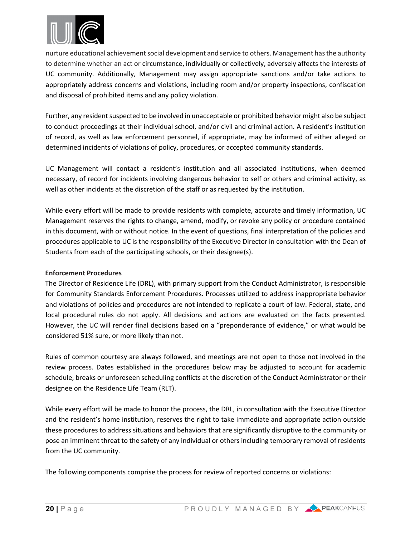

nurture educational achievement social development and service to others. Management has the authority to determine whether an act or circumstance, individually or collectively, adversely affects the interests of UC community. Additionally, Management may assign appropriate sanctions and/or take actions to appropriately address concerns and violations, including room and/or property inspections, confiscation and disposal of prohibited items and any policy violation.

Further, any resident suspected to be involved in unacceptable or prohibited behavior might also be subject to conduct proceedings at their individual school, and/or civil and criminal action. A resident's institution of record, as well as law enforcement personnel, if appropriate, may be informed of either alleged or determined incidents of violations of policy, procedures, or accepted community standards.

UC Management will contact a resident's institution and all associated institutions, when deemed necessary, of record for incidents involving dangerous behavior to self or others and criminal activity, as well as other incidents at the discretion of the staff or as requested by the institution.

While every effort will be made to provide residents with complete, accurate and timely information, UC Management reserves the rights to change, amend, modify, or revoke any policy or procedure contained in this document, with or without notice. In the event of questions, final interpretation of the policies and procedures applicable to UC is the responsibility of the Executive Director in consultation with the Dean of Students from each of the participating schools, or their designee(s).

#### **Enforcement Procedures**

The Director of Residence Life (DRL), with primary support from the Conduct Administrator, is responsible for Community Standards Enforcement Procedures. Processes utilized to address inappropriate behavior and violations of policies and procedures are not intended to replicate a court of law. Federal, state, and local procedural rules do not apply. All decisions and actions are evaluated on the facts presented. However, the UC will render final decisions based on a "preponderance of evidence," or what would be considered 51% sure, or more likely than not.

Rules of common courtesy are always followed, and meetings are not open to those not involved in the review process. Dates established in the procedures below may be adjusted to account for academic schedule, breaks or unforeseen scheduling conflicts at the discretion of the Conduct Administrator or their designee on the Residence Life Team (RLT).

While every effort will be made to honor the process, the DRL, in consultation with the Executive Director and the resident's home institution, reserves the right to take immediate and appropriate action outside these procedures to address situations and behaviors that are significantly disruptive to the community or pose an imminent threat to the safety of any individual or others including temporary removal of residents from the UC community.

The following components comprise the process for review of reported concerns or violations: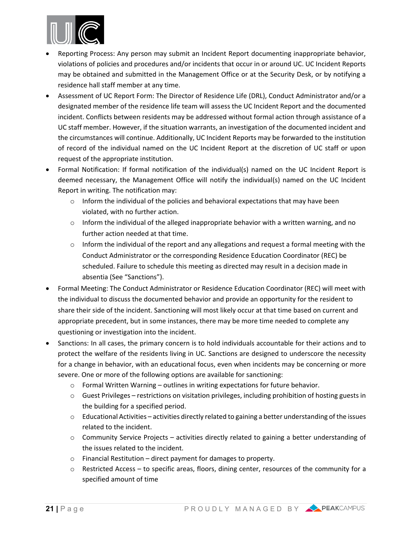

- Reporting Process: Any person may submit an Incident Report documenting inappropriate behavior, violations of policies and procedures and/or incidents that occur in or around UC. UC Incident Reports may be obtained and submitted in the Management Office or at the Security Desk, or by notifying a residence hall staff member at any time.
- Assessment of UC Report Form: The Director of Residence Life (DRL), Conduct Administrator and/or a designated member of the residence life team will assess the UC Incident Report and the documented incident. Conflicts between residents may be addressed without formal action through assistance of a UC staff member. However, if the situation warrants, an investigation of the documented incident and the circumstances will continue. Additionally, UC Incident Reports may be forwarded to the institution of record of the individual named on the UC Incident Report at the discretion of UC staff or upon request of the appropriate institution.
- Formal Notification: If formal notification of the individual(s) named on the UC Incident Report is deemed necessary, the Management Office will notify the individual(s) named on the UC Incident Report in writing. The notification may:
	- $\circ$  Inform the individual of the policies and behavioral expectations that may have been violated, with no further action.
	- o Inform the individual of the alleged inappropriate behavior with a written warning, and no further action needed at that time.
	- $\circ$  Inform the individual of the report and any allegations and request a formal meeting with the Conduct Administrator or the corresponding Residence Education Coordinator (REC) be scheduled. Failure to schedule this meeting as directed may result in a decision made in absentia (See "Sanctions").
- Formal Meeting: The Conduct Administrator or Residence Education Coordinator (REC) will meet with the individual to discuss the documented behavior and provide an opportunity for the resident to share their side of the incident. Sanctioning will most likely occur at that time based on current and appropriate precedent, but in some instances, there may be more time needed to complete any questioning or investigation into the incident.
- Sanctions: In all cases, the primary concern is to hold individuals accountable for their actions and to protect the welfare of the residents living in UC. Sanctions are designed to underscore the necessity for a change in behavior, with an educational focus, even when incidents may be concerning or more severe. One or more of the following options are available for sanctioning:
	- o Formal Written Warning outlines in writing expectations for future behavior.
	- $\circ$  Guest Privileges restrictions on visitation privileges, including prohibition of hosting guests in the building for a specified period.
	- $\circ$  Educational Activities activities directly related to gaining a better understanding of the issues related to the incident.
	- $\circ$  Community Service Projects activities directly related to gaining a better understanding of the issues related to the incident.
	- o Financial Restitution direct payment for damages to property.
	- o Restricted Access to specific areas, floors, dining center, resources of the community for a specified amount of time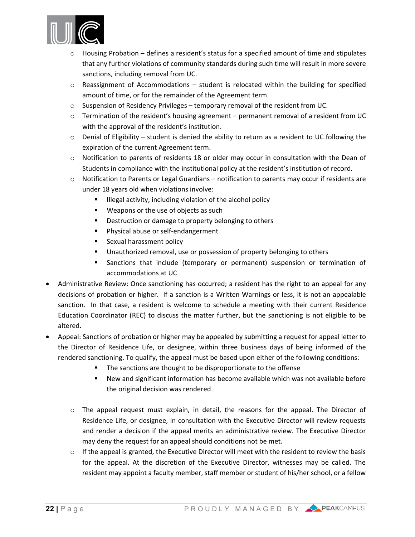

- $\circ$  Housing Probation defines a resident's status for a specified amount of time and stipulates that any further violations of community standards during such time will result in more severe sanctions, including removal from UC.
- $\circ$  Reassignment of Accommodations student is relocated within the building for specified amount of time, or for the remainder of the Agreement term.
- $\circ$  Suspension of Residency Privileges temporary removal of the resident from UC.
- $\circ$  Termination of the resident's housing agreement permanent removal of a resident from UC with the approval of the resident's institution.
- $\circ$  Denial of Eligibility student is denied the ability to return as a resident to UC following the expiration of the current Agreement term.
- $\circ$  Notification to parents of residents 18 or older may occur in consultation with the Dean of Students in compliance with the institutional policy at the resident's institution of record.
- $\circ$  Notification to Parents or Legal Guardians notification to parents may occur if residents are under 18 years old when violations involve:
	- **Illegal activity, including violation of the alcohol policy**
	- **Weapons or the use of objects as such**
	- **•** Destruction or damage to property belonging to others
	- **Physical abuse or self-endangerment**
	- **Sexual harassment policy**
	- Unauthorized removal, use or possession of property belonging to others
	- Sanctions that include (temporary or permanent) suspension or termination of accommodations at UC
- Administrative Review: Once sanctioning has occurred; a resident has the right to an appeal for any decisions of probation or higher. If a sanction is a Written Warnings or less, it is not an appealable sanction. In that case, a resident is welcome to schedule a meeting with their current Residence Education Coordinator (REC) to discuss the matter further, but the sanctioning is not eligible to be altered.
- Appeal: Sanctions of probation or higher may be appealed by submitting a request for appeal letter to the Director of Residence Life, or designee, within three business days of being informed of the rendered sanctioning. To qualify, the appeal must be based upon either of the following conditions:
	- The sanctions are thought to be disproportionate to the offense
	- New and significant information has become available which was not available before the original decision was rendered
	- o The appeal request must explain, in detail, the reasons for the appeal. The Director of Residence Life, or designee, in consultation with the Executive Director will review requests and render a decision if the appeal merits an administrative review. The Executive Director may deny the request for an appeal should conditions not be met.
	- $\circ$  If the appeal is granted, the Executive Director will meet with the resident to review the basis for the appeal. At the discretion of the Executive Director, witnesses may be called. The resident may appoint a faculty member, staff member or student of his/her school, or a fellow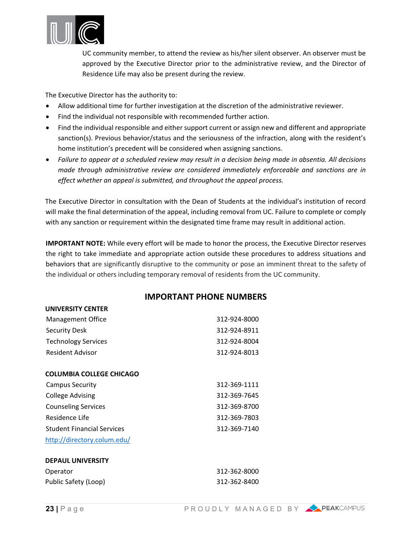

UC community member, to attend the review as his/her silent observer. An observer must be approved by the Executive Director prior to the administrative review, and the Director of Residence Life may also be present during the review.

The Executive Director has the authority to:

- Allow additional time for further investigation at the discretion of the administrative reviewer.
- Find the individual not responsible with recommended further action.
- Find the individual responsible and either support current or assign new and different and appropriate sanction(s). Previous behavior/status and the seriousness of the infraction, along with the resident's home institution's precedent will be considered when assigning sanctions.
- *Failure to appear at a scheduled review may result in a decision being made in absentia. All decisions made through administrative review are considered immediately enforceable and sanctions are in effect whether an appeal is submitted, and throughout the appeal process.*

The Executive Director in consultation with the Dean of Students at the individual's institution of record will make the final determination of the appeal, including removal from UC. Failure to complete or comply with any sanction or requirement within the designated time frame may result in additional action.

**IMPORTANT NOTE:** While every effort will be made to honor the process, the Executive Director reserves the right to take immediate and appropriate action outside these procedures to address situations and behaviors that are significantly disruptive to the community or pose an imminent threat to the safety of the individual or others including temporary removal of residents from the UC community.

#### **IMPORTANT PHONE NUMBERS**

| <b>UNIVERSITY CENTER</b>          |              |
|-----------------------------------|--------------|
| Management Office                 | 312-924-8000 |
| <b>Security Desk</b>              | 312-924-8911 |
| <b>Technology Services</b>        | 312-924-8004 |
| <b>Resident Advisor</b>           | 312-924-8013 |
| COLUMBIA COLLEGE CHICAGO          |              |
| Campus Security                   | 312-369-1111 |
| <b>College Advising</b>           | 312-369-7645 |
| <b>Counseling Services</b>        | 312-369-8700 |
| Residence Life                    | 312-369-7803 |
| <b>Student Financial Services</b> | 312-369-7140 |
| http://directory.colum.edu/       |              |
| <b>DEPAUL UNIVERSITY</b>          |              |
| Operator                          | 312-362-8000 |
| Public Safety (Loop)              | 312-362-8400 |